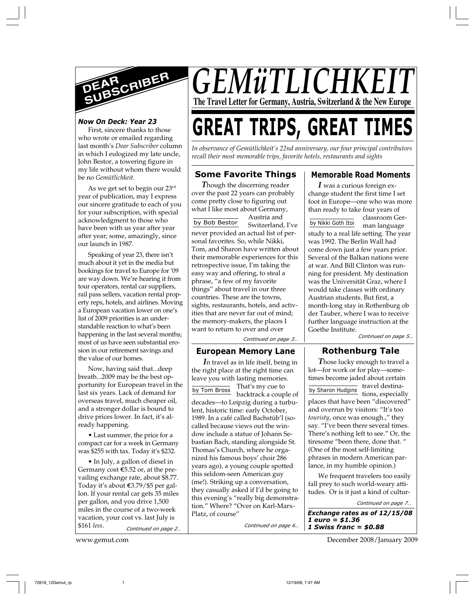

# *Now On Deck: Year 23*

First, sincere thanks to those who wrote or emailed regarding last month's *Dear Subscriber* column in which I eulogized my late uncle, John Bestor, a towering figure in my life without whom there would be no *Gemütlichkeit*.

As we get set to begin our 23rd year of publication, may I express our sincere gratitude to each of you for your subscription, with special acknowledgment to those who have been with us year after year after year; some, amazingly, since our launch in 1987.

Speaking of year 23, there isn't much about it yet in the media but bookings for travel to Europe for '09 are way down. We're hearing it from tour operators, rental car suppliers, rail pass sellers, vacation rental property reps, hotels, and airlines. Moving a European vacation lower on one's list of 2009 priorities is an understandable reaction to what's been happening in the last several months; most of us have seen substantial erosion in our retirement savings and the value of our homes.

Now, having said that...deep breath...2009 may be the best opportunity for European travel in the last six years. Lack of demand for overseas travel, much cheaper oil, and a stronger dollar is bound to drive prices lower. In fact, it's already happening.

• Last summer, the price for a compact car for a week in Germany was \$255 with tax. Today it's \$232.

*Continued on page 2…* • In July, a gallon of diesel in Germany cost  $$5.52$  or, at the prevailing exchange rate, about \$8.77. Today it's about E3.79/\$5 per gallon. If your rental car gets 35 miles per gallon, and you drive 1,500 miles in the course of a two-week vacation, your cost vs. last July is \$161 *less*.

*GEMüTLICHKI* **The Travel Letter for Germany, Austria, Switzerland & the New Europe**

# **GREAT TRIPS, GREAT TIMES**

*In observance of Gemütlichkeit's 22nd anniversary, our four principal contributors recall their most memorable trips, favorite hotels, restaurants and sights*

# **Some Favorite Things**

*T*hough the discerning reader over the past 22 years can probably come pretty close to figuring out what I like most about Germany,

Austria and Switzerland, I've never provided an actual list of personal favorites. So, while Nikki, Tom, and Sharon have written about their memorable experiences for this retrospective issue, I'm taking the easy way and offering, to steal a phrase, "a few of my favorite things" about travel in our three countries. These are the towns, sights, restaurants, hotels, and activities that are never far out of mind; the memory-makers, the places I want to return to over and over by Bob Bestor

*Continued on page 3…*

#### **European Memory Lane**

*I*n travel as in life itself, being in the right place at the right time can leave you with lasting memories. That's my cue to backtrack a couple of decades—to Leipzig during a turbulent, historic time: early October, 1989. In a café called Bachstüb'l (socalled because views out the window include a statue of Johann Sebastian Bach, standing alongside St. Thomas's Church, where he organized his famous boys' choir 286 years ago), a young couple spotted this seldom-seen American guy (me!). Striking up a conversation, they casually asked if I'd be going to this evening's "really big demonstration." Where? "Over on Karl-Marx-Platz, of course" by Tom Bross

*Continued on page 6…*

# **Memorable Road Moments**

*I* was a curious foreign exchange student the first time I set foot in Europe—one who was more than ready to take four years of

classroom German language by Nikki Goth Itoi

study to a real life setting. The year was 1992. The Berlin Wall had come down just a few years prior. Several of the Balkan nations were at war. And Bill Clinton was running for president. My destination was the Universität Graz, where I would take classes with ordinary Austrian students. But first, a month-long stay in Rothenburg ob der Tauber, where I was to receive further language instruction at the Goethe Institute.

*Continued on page 5…*

# **Rothenburg Tale**

*T*hose lucky enough to travel a lot—for work or for play—sometimes become jaded about certain travel destinaby Sharon Hudgins<br>tions, especially places that have been "discovered" and overrun by visitors: "It's too *touristy*, once was enough.," they say. "I've been there several times. There's nothing left to see." Or, the tiresome "been there, done that. " (One of the most self-limiting phrases in modern American parlance, in my humble opinion.)

We frequent travelers too easily fall prey to such world-weary attitudes. Or is it just a kind of cultur-

*Exchange rates as of 12/15/08 1 euro = \$1.36 1 Swiss franc = \$0.88 Continued on page 7…*

www.gemut.com December 2008/January 2009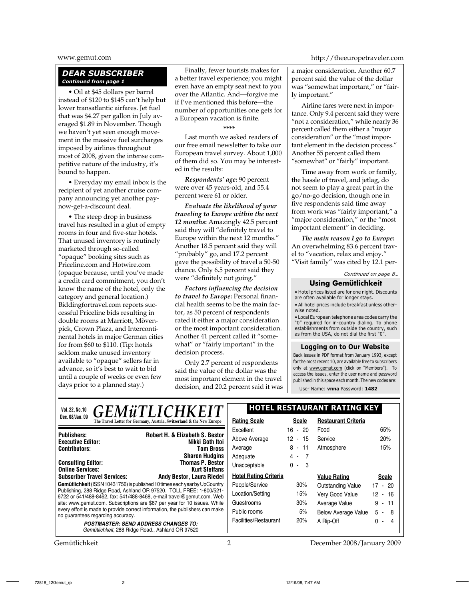# *DEAR SUBSCRIBER Continued from page 1*

• Oil at \$45 dollars per barrel instead of \$120 to \$145 can't help but lower transatlantic airfares. Jet fuel that was \$4.27 per gallon in July averaged \$1.89 in November. Though we haven't yet seen enough movement in the massive fuel surcharges imposed by airlines throughout most of 2008, given the intense competitive nature of the industry, it's bound to happen.

• Everyday my email inbox is the recipient of yet another cruise company announcing yet another paynow-get-a-discount deal.

• The steep drop in business travel has resulted in a glut of empty rooms in four and five-star hotels. That unused inventory is routinely marketed through so-called "opaque" booking sites such as Priceline.com and Hotwire.com (opaque because, until you've made a credit card commitment, you don't know the name of the hotel, only the category and general location.) Biddingfortravel.com reports successful Priceline bids resulting in double rooms at Marriott, Mövenpick, Crown Plaza, and Intercontinental hotels in major German cities for from \$60 to \$110. (Tip: hotels seldom make unused inventory available to "opaque" sellers far in advance, so it's best to wait to bid until a couple of weeks or even few days prior to a planned stay.)

Finally, fewer tourists makes for a better travel experience; you might even have an empty seat next to you over the Atlantic. And—forgive me if I've mentioned this before—the number of opportunities one gets for a European vacation is finite.

**\*\*\*\***

Last month we asked readers of our free email newsletter to take our European travel survey. About 1,000 of them did so. You may be interested in the results:

*Respondents' age:* 90 percent were over 45 years-old, and 55.4 percent were 61 or older.

*Evaluate the likelihood of your traveling to Europe within the next 12 months***:** Amazingly 42.5 percent said they will "definitely travel to Europe within the next 12 months." Another 18.5 percent said they will "probably" go, and 17.2 percent gave the possibility of travel a 50-50 chance. Only 6.5 percent said they were "definitely not going."

*Factors influencing the decision to travel to Europe***:** Personal financial health seems to be the main factor, as 50 percent of respondents rated it either a major consideration or the most important consideration. Another 41 percent called it "somewhat" or "fairly important" in the decision process.

Only 2.7 percent of respondents said the value of the dollar was the most important element in the travel decision, and 20.2 percent said it was

www.gemut.com http://theeuropetraveler.com

a major consideration. Another 60.7 percent said the value of the dollar was "somewhat important," or "fairly important."

Airline fares were next in importance. Only 9.4 percent said they were "not a consideration," while nearly 36 percent called them either a "major consideration" or the "most important element in the decision process." Another 55 percent called them "somewhat" or "fairly" important.

Time away from work or family, the hassle of travel, and jetlag, do not seem to play a great part in the go/no-go decision, though one in five respondents said time away from work was "fairly important," a "major consideration," or the "most important element" in deciding.

*The main reason I go to Europe***:** An overwhelming 83.6 percent travel to "vacation, relax and enjoy." "Visit family" was cited by 12.1 per-

*Continued on page 8…*

# **Using Gemütlichkeit**

• Hotel prices listed are for one night. Discounts are often available for longer stays.

• All hotel prices include breakfast unless otherwise noted.

• Local European telephone area codes carry the "0" required for in-country dialing. To phone establishments from outside the country, such as from the USA, do not dial the first "0".

#### **Logging on to Our Website**

Back issues in PDF format from January 1993, except for the most recent 10, are available free to subscribers only at www.gemut.com (click on "Members"). To access the issues, enter the user name and password published in this space each month. The new codes are:

User Name: **vnna** Password: **1482**

| <b>HOTEL RESTAURANT RATING KEY</b><br><b>GEMüTLICHKEIT</b> |                                                                                                                                                                                                                                                                                                                                                                                                                                                                                                                                                                            |                                                       |                                      |
|------------------------------------------------------------|----------------------------------------------------------------------------------------------------------------------------------------------------------------------------------------------------------------------------------------------------------------------------------------------------------------------------------------------------------------------------------------------------------------------------------------------------------------------------------------------------------------------------------------------------------------------------|-------------------------------------------------------|--------------------------------------|
| <b>Rating Scale</b>                                        | <b>Scale</b>                                                                                                                                                                                                                                                                                                                                                                                                                                                                                                                                                               | <b>Restaurant Criteria</b>                            |                                      |
| Excellent                                                  | 16 - 20                                                                                                                                                                                                                                                                                                                                                                                                                                                                                                                                                                    | Food                                                  | 65%                                  |
| Above Average                                              | $12 - 15$                                                                                                                                                                                                                                                                                                                                                                                                                                                                                                                                                                  | Service                                               | 20%                                  |
| Average                                                    | $8 - 11$                                                                                                                                                                                                                                                                                                                                                                                                                                                                                                                                                                   | Atmosphere                                            | 15%                                  |
| Adequate                                                   | $4 - 7$                                                                                                                                                                                                                                                                                                                                                                                                                                                                                                                                                                    |                                                       |                                      |
| Unacceptable                                               | $0 - 3$                                                                                                                                                                                                                                                                                                                                                                                                                                                                                                                                                                    |                                                       |                                      |
|                                                            |                                                                                                                                                                                                                                                                                                                                                                                                                                                                                                                                                                            | <b>Value Rating</b>                                   | <b>Scale</b>                         |
| People/Service                                             | 30%                                                                                                                                                                                                                                                                                                                                                                                                                                                                                                                                                                        | Outstanding Value                                     | $17 - 20$                            |
| Location/Setting                                           | 15%                                                                                                                                                                                                                                                                                                                                                                                                                                                                                                                                                                        | Very Good Value                                       | $12 - 16$                            |
| Guestrooms                                                 | 30%                                                                                                                                                                                                                                                                                                                                                                                                                                                                                                                                                                        | Average Value                                         | $-11$<br>9                           |
| Public rooms                                               | 5%                                                                                                                                                                                                                                                                                                                                                                                                                                                                                                                                                                         | <b>Below Average Value</b>                            | $5 - 8$                              |
|                                                            | 20%                                                                                                                                                                                                                                                                                                                                                                                                                                                                                                                                                                        | A Rip-Off                                             | <sup>n</sup><br>-4<br>$\blacksquare$ |
|                                                            |                                                                                                                                                                                                                                                                                                                                                                                                                                                                                                                                                                            |                                                       |                                      |
|                                                            | Robert H. & Elizabeth S. Bestor<br>Nikki Goth Itoi<br><b>Tom Bross</b><br><b>Sharon Hudgins</b><br><b>Thomas P. Bestor</b><br>Kurt Steffans<br><b>Andy Bestor, Laura Riedel</b><br>Gemütlichkeit (ISSN 10431756) is published 10 times each year by UpCountry<br>Publishing, 288 Ridge Road, Ashland OR 97520. TOLL FREE: 1-800/521-<br>6722 or 541/488-8462, fax: 541/488-8468, e-mail travel@gemut.com. Web<br>site: www.gemut.com. Subscriptions are \$67 per year for 10 issues. While<br>every effort is made to provide correct information, the publishers can make | <b>Hotel Rating Criteria</b><br>Facilities/Restaurant |                                      |

Gemütlichkeit 2009/January 2009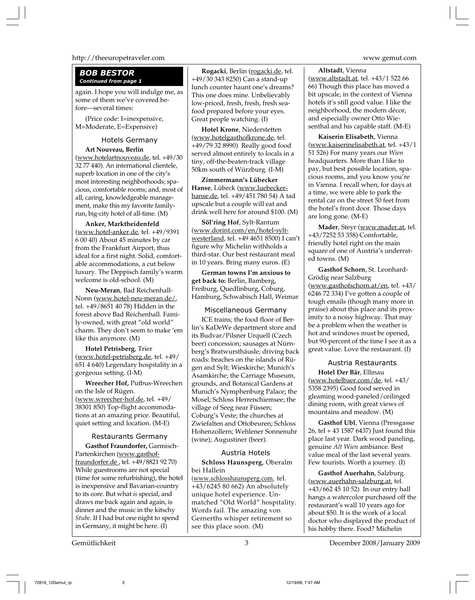#### http://theeuropetraveler.com www.gemut.com

### *BOB BESTOR Continued from page 1*

again. I hope you will indulge me, as some of them we've covered before—several times:

(Price code: I=inexpensive, M=Moderate, E=Expensive)

### Hotels Germany **Art Nouveau, Berlin**

(www.hotelartnouveau.de, tel. +49/30 32 77 440). An international clientele, superb location in one of the city's most interesting neighborhoods; spacious, comfortable rooms; and, most of all, caring, knowledgeable management, make this my favorite familyrun, big-city hotel of all-time. (M)

**Anker, Marktheidenfeld** (www.hotel-anker.de, tel. +49/9391 6 00 40) About 45 minutes by car from the Frankfurt Airport, thus ideal for a first night. Solid, comfortable accommodations, a cut below luxury. The Deppisch family's warm welcome is old-school. (M)

**Neu-Meran**, Bad Reichenhall-Nonn (www.hotel-neu-meran.de/, tel. +49/8651 40 78) Hidden in the forest above Bad Reichenhall. Family-owned, with great "old world" charm. They don't seem to make 'em like this anymore. (M)

**Hotel Petrisberg**, Trier (www.hotel-petrisberg.de, tel. +49/ 651 4 640) Legendary hospitality in a gorgeous setting. (I-M)

**Wreecher Hof,** Putbus-Wreechen on the Isle of Rügen. (www.wreecher-hof.de, tel. +49/ 38301 850) Top-flight accommodations at an amazing price. Beautiful, quiet setting and location. (M-E)

### Restaurants Germany

**Gasthof Fraundorfer,** Garmisch-Partenkirchen (www.gasthoffraundorfer.de , tel. +49/8821 92 70) While guestrooms are not special (time for some refurbishing), the hotel is inexpensive and Bavarian-country to its core. But what *is* special, and draws me back again and again, is dinner and the music in the kitschy *Stube*. If I had but one night to spend in Germany, it might be here. (I)

**Rogacki**, Berlin (rogacki.de, tel. +49/30 343 8250) Can a stand-up lunch counter haunt one's dreams? This one does mine. Unbelievably low-priced, fresh, fresh, fresh seafood prepared before your eyes. Great people watching. (I)

**Hotel Krone**, Niederstetten (www.hotelgasthofkrone.de, tel. +49/79 32 8990) Really good food served almost entirely to locals in a tiny, off-the-beaten-track village 50km south of Würzburg. (I-M)

**Zimmermann's Lübecker Hanse**, Lübeck (www.luebeckerhanse.de, tel. +49/451 780 54) A tad upscale but a couple will eat and drink well here for around \$100. (M)

**Söl'ring Hof**, Sylt-Rantum (www.dorint.com/en/hotel-syltwesterland, tel. +49 4651 8500) I can't figure why Michelin withholds a third-star. Our best restaurant meal in 10 years. Bring many euros. (E)

**German towns I'm anxious to get back to:** Berlin, Bamberg, Freiburg, Quedlinburg, Coburg, Hamburg, Schwabisch Hall, Weimar

# Miscellaneous Germany

ICE trains; the food floor of Berlin's KaDeWe department store and its Budvar/Pilsner Urquell (Czech beer) concession; sausages at Nürnberg's Bratwursthäusle; driving back roads: beaches on the islands of Rügen and Sylt; Wieskirche; Munich's Asamkirche; the Carriage Museum, grounds, and Botanical Gardens at Munich's Nymphenburg Palace; the Mosel; Schloss Herrenchiemsee; the village of Seeg near Füssen; Coburg's Veste; the churches at Zwiefalten and Ottobeuren; Schloss Hohenzollern; Wehlener Sonnenuhr (wine); Augustiner (beer).

### Austria Hotels

**Schloss Haunsperg**, Oberalm bei Hallein

(www.schlosshaunsperg.com, tel. +43/6245 80 662) An absolutely unique hotel experience. Unmatched "Old World" hospitality. Words fail. The amazing von Gernerths whisper retirement so see this place soon. (M)

**Altstadt**, Vienna (www.altstadt.at, tel. +43/1 522 66 66) Though this place has moved a bit upscale, in the context of Vienna hotels it's still good value. I like the neighborhood, the modern décor, and especially owner Otto Wiesenthal and his capable staff. (M-E)

**Kaiserin Elisabeth**, Vienna (www.kaiserinelisabeth.at, tel. +43/1 51 526) For many years our *Wien* headquarters. More than I like to pay, but best possible location, spacious rooms, and you know you're in Vienna. I recall when, for days at a time, we were able to park the rental car on the street 50 feet from the hotel's front door. Those days are long gone. (M-E)

**Mader**, Steyr (www.mader.at, tel. +43/7252 53 358) Comfortable, friendly hotel right on the main square of one of Austria's underrated towns. (M)

**Gasthof Schorn**, St. Leonhard-Grödig near Salzburg (www.gasthofschorn.at/en, tel. +43/ 6246 72 334) I've gotten a couple of tough emails (though many more in praise) about this place and its proximity to a noisy highway. That may be a problem when the weather is hot and windows must be opened, but 90-percent of the time I see it as a great value. Love the restaurant. (I)

# Austria Restaurants

**Hotel Der Bär**, Ellmau (www.hotelbaer.com/de, tel. +43/ 5358 2395) Good food served in gleaming wood-paneled/ceilinged dining room, with great views of mountains and meadow. (M)

**Gasthof Ubl**, Vienna (Pressgasse 26, tel + 43 1587 6437) Just found this place last year. Dark wood paneling, genuine *Alt Wien* ambiance. Best value meal of the last several years. Few tourists. Worth a journey. (I)

**Gasthof Auerhahn**, Salzburg. (www.auerhahn-salzburg.at, tel. +43/662 45 10 52) In our entry hall hangs a watercolor purchased off the restaurant's wall 10 years ago for about \$50. It is the work of a local doctor who displayed the product of his hobby there. Food? Michelin

Gemütlichkeit 3 December 2008/January 2009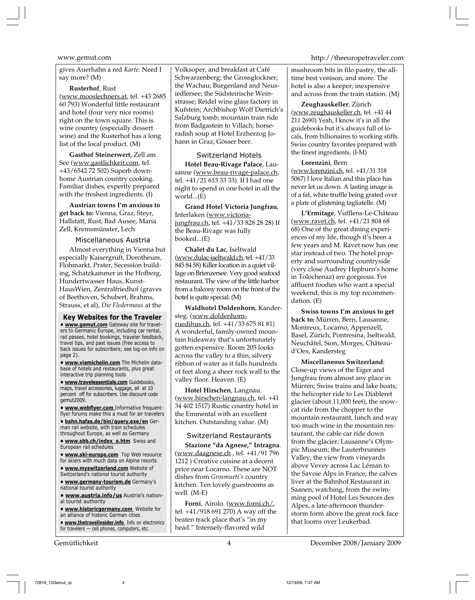gives Auerhahn a red *Karte*. Need I say more? (M)

#### **Rusterhof**, Rust

(www.mooslechners.at, tel. +43 2685 60 793) Wonderful little restaurant and hotel (four very nice rooms) right on the town square. This is wine country (especially dessert wine) and the Rusterhof has a long list of the local product. (M)

**Gasthof Steinerwert**, Zell am See (www.gastlichkeit.com, tel. +43/6542 72 502) Superb downhome Austrian country cooking. Familiar dishes, expertly prepared with the freshest ingredients. (I)

**Austrian towns I'm anxious to get back to:** Vienna, Graz, Steyr, Hallstatt, Rust, Bad Ausee, Maria Zell, Kremsmünster, Lech

#### Miscellaneous Austria

Almost everything in Vienna but especially Kaisergruft, Dorotheum, Flohmarkt, Prater, Secession building, Schatzkammer in the Hofberg, Hundertwasser Haus, Kunst-HausWien, Zentralfriedhof (graves of Beethoven, Schubert, Brahms, Strauss, et al), *Die Fledermaus* at the

**Key Websites for the Traveler • www.gemut.com** Gateway site for travelers to Germanic Europe, including car rental, rail passes, hotel bookings, traveler feedback, travel tips, and past issues (free access to back issues for subscribers; see log-on info on page 2).

**• www.viamichelin.com** The Michelin database of hotels and restaurants, plus great interactive trip planning tools

**• www.travelessentials.com** Guidebooks, maps, travel accessories, luggage, all at 10 percent off for subscribers. Use discount code  $g$ cemut $2009$ 

**• www.webflyer.com** Informative frequentflyer forums make this a must for air travelers

**• bahn.hafas.de/bin/query.exe/en** German rail website, with train schedules throughout Europe, as well as Germany

**• www.sbb.ch/index\_e.htm** Swiss and European rail schedules

**• www.ski-europe.com** Top Web resource for skiers with much data on Alpine resorts

- **www.myswitzerland.com** Website of Switzerland's national tourist authority
- **www.germany-tourism.de** Germany's national tourist authority

**• www.austria.info/us** Austria's national tourist authority

**• www.historicgermany.com** Website for an alliance of historic German cities

**• www.thetravelinsider.info** Info on electronics for travelers — cell phones, computers, etc.

Volksoper, and breakfast at Café Schwarzenberg; the Grossglockner; the Wachau; Burgenland and Neusiedlersee; the Südsteirische Weinstrasse; Reidel wine glass factory in Kufstein; Archbishop Wolf Dietrich's Salzburg tomb; mountain train ride from Badgastein to Villach; horseradish soup at Hotel Erzherzog Johann in Graz; Gösser beer.

#### Switzerland Hotels

**Hotel Beau-Rivage Palace**, Lausanne (www.beau-rivage-palace.ch, tel. +41/21 613 33 33). If I had one night to spend in one hotel in all the world...(E)

**Grand Hotel Victoria Jungfrau**, Interlaken (www.victoriajungfrau.ch, tel. +41/33 828 28 28) If the Beau-Rivage was fully booked...(E)

**Chalet du Lac**, Iseltwald (www.dulac-iseltwald.ch, tel. +41/33 845 84 58) Killer location in a quiet village on Brienzersee. Very good seafood restaurant. The view of the little harbor from a balcony room on the front of the hotel is quite special. (M)

**Waldhotel Doldenhorn**, Kandersteg. (www.doldenhornruedihus.ch, tel. +41/33 675 81 81) A wonderful, family-owned mountain hideaway that's unfortunately gotten expensive. Room 205 looks across the valley to a thin, silvery ribbon of water as it falls hundreds of feet along a sheer rock wall to the valley floor. Heaven. (E)

**Hotel Hirschen**, Langnau. (www.hirschen-langnau.ch, tel. +41 34 402 1517) Rustic country hotel in the Emmental with an excellent kitchen. Outstanding value. (M)

#### Switzerland Restaurants

**Stazione "da Agnese," Intragna**. (www.daagnese.ch , tel. +41/91 796 1212 ) Creative cuisine at a decent price near Locarno. These are NOT dishes from *Grosmueti's* country kitchen. Ten lovely guestrooms as well. (M-E)

**Forni**, Airolo. (www.forni.ch/, tel. +41/918 691 270) A way off the beaten track place that's "in my head." Intensely-flavored wild

#### www.gemut.com http://theeuropetraveler.com

mushroom bits in filo pastry, the alltime best venison, and more. The hotel is also a keeper; inexpensive and across from the train station. (M)

**Zeughauskeller**, Zürich (www.zeughauskeller.ch, tel. +41 44 211 2690) Yeah, I know it's in all the guidebooks but it's always full of locals, from billionaires to working stiffs. Swiss country favorites prepared with the finest ingredients. (I-M)

#### **Lorenzini**, Bern

(www.lorenzini.ch, tel. +41/31 318 5067) I love Italian and this place has never let us down. A lasting image is of a fat, white truffle being grated over a plate of glistening tagliatelle. (M)

**L'Ermitage**, Vufflens-Le-Château (www.ravet.ch, tel. +41/21 804 68 68) One of the great dining experiences of my life, though it's been a few years and M. Ravet now has one star instead of two. The hotel property and surrounding countryside (very close Audrey Hepburn's home in Tolochenaz) are gorgeous. For affluent foodies who want a special weekend, this is my top recommendation. (E)

**Swiss towns I'm anxious to get back to:** Mürren, Bern, Lausanne, Montreux, Locarno, Appenzell, Basel, Zürich, Pontresina, Iseltwald, Neuchâtel, Sion, Morges, Châteaud'Oex, Kandersteg

**Miscellaneous Switzerland**: Close-up views of the Eiger and Jungfrau from almost any place in Mürren; Swiss trains and lake boats; the helicopter ride to Les Diableret glacier (about 11,000 feet), the snowcat ride from the chopper to the mountain restaurant, lunch and way too much wine in the mountain restaurant, the cable car ride down from the glacier; Lausanne's Olympic Museum; the Lauterbrunnen Valley; the view from vineyards above Vevey across Lac Léman to the Savoie Alps in France; the calves liver at the Bahnhof Restaurant in Saanen; watching, from the swimming pool of Hotel Les Sources des Alpes, a late-afternoon thunderstorm form above the great rock face that looms over Leukerbad.

Gemütlichkeit 4 December 2008/January 2009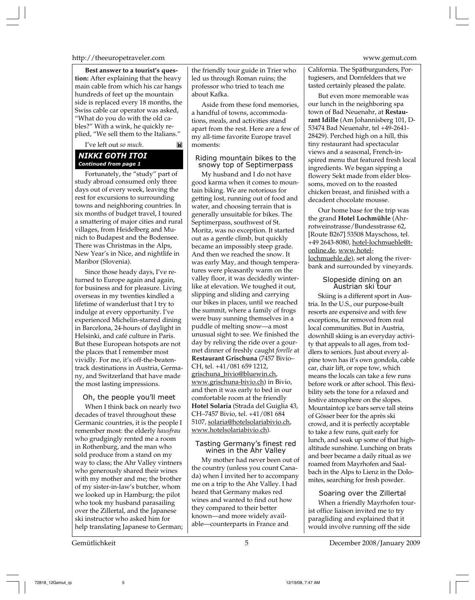#### http://theeuropetraveler.com www.gemut.com

**Best answer to a tourist's question:** After explaining that the heavy main cable from which his car hangs hundreds of feet up the mountain side is replaced every 18 months, the Swiss cable car operator was asked, "What do you do with the old cables?" With a wink, he quickly replied, "We sell them to the Italians."

I've left out *so much*.

M

#### *NIKKI GOTH ITOI Continued from page 1*

Fortunately, the "study" part of study abroad consumed only three days out of every week, leaving the rest for excursions to surrounding towns and neighboring countries. In six months of budget travel, I toured a smattering of major cities and rural villages, from Heidelberg and Munich to Budapest and the Bodensee. There was Christmas in the Alps, New Year's in Nice, and nightlife in Maribor (Slovenia).

Since those heady days, I've returned to Europe again and again, for business and for pleasure. Living overseas in my twenties kindled a lifetime of wanderlust that I try to indulge at every opportunity. I've experienced Michelin-starred dining in Barcelona, 24-hours of daylight in Helsinki, and café culture in Paris. But these European hotspots are not the places that I remember most vividly. For me, it's off-the-beatentrack destinations in Austria, Germany, and Switzerland that have made the most lasting impressions.

#### Oh, the people you'll meet

When I think back on nearly two decades of travel throughout these Germanic countries, it is the people I remember most: the elderly *hausfrau* who grudgingly rented me a room in Rothenburg, and the man who sold produce from a stand on my way to class; the Ahr Valley vintners who generously shared their wines with my mother and me; the brother of my sister-in-law's butcher, whom we looked up in Hamburg; the pilot who took my husband parasailing over the Zillertal, and the Japanese ski instructor who asked him for help translating Japanese to German;

the friendly tour guide in Trier who led us through Roman ruins; the professor who tried to teach me about Kafka.

Aside from these fond memories, a handful of towns, accommodations, meals, and activities stand apart from the rest. Here are a few of my all-time favorite Europe travel moments:

# Riding mountain bikes to the snowy top of Septimerpass

My husband and I do not have good karma when it comes to mountain biking. We are notorious for getting lost, running out of food and water, and choosing terrain that is generally unsuitable for bikes. The Septimerpass, southwest of St. Moritz, was no exception. It started out as a gentle climb, but quickly became an impossibly steep grade. And then we reached the snow. It was early May, and though temperatures were pleasantly warm on the valley floor, it was decidedly winterlike at elevation. We toughed it out, slipping and sliding and carrying our bikes in places, until we reached the summit, where a family of frogs were busy sunning themselves in a puddle of melting snow—a most unusual sight to see. We finished the day by reliving the ride over a gourmet dinner of freshly caught *forelle* at **Restaurant Grischuna** (7457 Bivio– CH, tel. +41/081 659 1212, grischuna\_bivio@bluewin.ch, www.grischuna-bivio.ch) in Bivio, and then it was early to bed in our comfortable room at the friendly **Hotel Solaria** (Strada del Guiglia 43, CH–7457 Bivio, tel. +41/081 684 5107, solaria@hotelsolariabivio.ch, www.hotelsolariabivio.ch).

#### Tasting Germany's finest red wines in the Ahr Valley

My mother had never been out of the country (unless you count Canada) when I invited her to accompany me on a trip to the Ahr Valley. I had heard that Germany makes red wines and wanted to find out how they compared to their better known—and more widely available—counterparts in France and

California. The Spätburgunders, Portugiesers, and Dornfelders that we tasted certainly pleased the palate.

But even more memorable was our lunch in the neighboring spa town of Bad Neuenahr, at **Restaurant Idille** (Am Johannisberg 101, D-53474 Bad Neuenahr, tel +49-2641- 28429). Perched high on a hill, this tiny restaurant had spectacular views and a seasonal, French-inspired menu that featured fresh local ingredients. We began sipping a flowery Sekt made from elder blossoms, moved on to the roasted chicken breast, and finished with a decadent chocolate mousse.

Our home base for the trip was the grand **Hotel Lochmühle** (Ahrrotweinstrasse/Bundesstrasse 62, [Route B267] 53508 Mayschoss, tel. +49 2643-8080, hotel-lochmuehle@tonline.de, www.hotellochmuehle.de), set along the riverbank and surrounded by vineyards.

> Slopeside dining on an Austrian ski tour

Skiing is a different sport in Austria. In the U.S., our purpose-built resorts are expensive and with few exceptions, far removed from real local communities. But in Austria, downhill skiing is an everyday activity that appeals to all ages, from toddlers to seniors. Just about every alpine town has it's own gondola, cable car, chair lift, or rope tow, which means the locals can take a few runs before work or after school. This flexibility sets the tone for a relaxed and festive atmosphere on the slopes. Mountaintop ice bars serve tall steins of Gösser beer for the après ski crowd, and it is perfectly acceptable to take a few runs, quit early for lunch, and soak up some of that highaltitude sunshine. Lunching on brats and beer became a daily ritual as we roamed from Mayrhofen and Saalbach in the Alps to Lienz in the Dolomites, searching for fresh powder.

# Soaring over the Zillertal

When a friendly Mayrhofen tourist office liaison invited me to try paragliding and explained that it would involve running off the side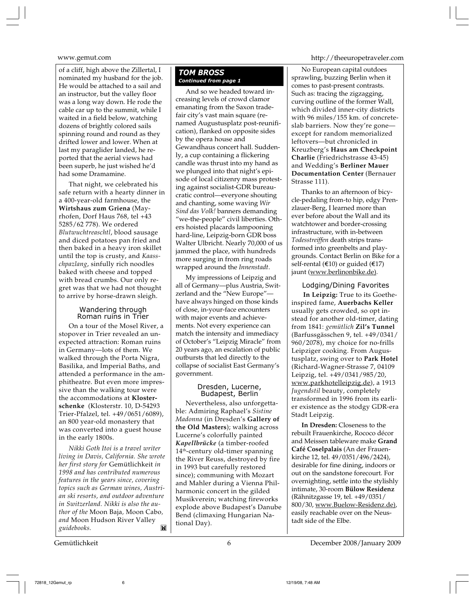of a cliff, high above the Zillertal, I nominated my husband for the job. He would be attached to a sail and an instructor, but the valley floor was a long way down. He rode the cable car up to the summit, while I waited in a field below, watching dozens of brightly colored sails spinning round and round as they drifted lower and lower. When at last my paraglider landed, he reported that the aerial views had been superb, he just wished he'd had some Dramamine.

That night, we celebrated his safe return with a hearty dinner in a 400-year-old farmhouse, the **Wirtshaus zum Griena** (Mayrhofen, Dorf Haus 768, tel +43 5285/62 778). We ordered *Blutwuchtreaschtl*, blood sausage and diced potatoes pan fried and then baked in a heavy iron skillet until the top is crusty, and *Kaasschpazlang*, sinfully rich noodles baked with cheese and topped with bread crumbs. Our only regret was that we had not thought to arrive by horse-drawn sleigh.

# Wandering through Roman ruins in Trier

On a tour of the Mosel River, a stopover in Trier revealed an unexpected attraction: Roman ruins in Germany—lots of them. We walked through the Porta Nigra, Basilika, and Imperial Baths, and attended a performance in the amphitheatre. But even more impressive than the walking tour were the accommodations at **Klosterschenke** (Klosterstr. 10, D-54293 Trier-Pfalzel, tel. +49/0651/6089), an 800 year-old monastery that was converted into a guest house in the early 1800s.

*Nikki Goth Itoi is a travel writer living in Davis, California. She wrote her first story for* Gemütlichkeit *in 1998 and has contributed numerous features in the years since, covering topics such as German wines, Austrian ski resorts, and outdoor adventure in Switzerland. Nikki is also the author of the* Moon Baja*,* Moon Cabo*, and* Moon Hudson River Valley *guidebooks.* M

# *TOM BROSS Continued from page 1*

And so we headed toward increasing levels of crowd clamor emanating from the Saxon tradefair city's vast main square (renamed Augustusplatz post-reunification), flanked on opposite sides by the opera house and Gewandhaus concert hall. Suddenly, a cup containing a flickering candle was thrust into my hand as we plunged into that night's episode of local citizenry mass protesting against socialist-GDR bureaucratic control—everyone shouting and chanting, some waving *Wir Sind das Volk!* banners demanding "we-the-people" civil liberties. Others hoisted placards lampooning hard-line, Leipzig-born GDR boss Walter Ulbricht. Nearly 70,000 of us jammed the place, with hundreds more surging in from ring roads wrapped around the *Innenstadt*.

My impressions of Leipzig and all of Germany—plus Austria, Switzerland and the "New Europe" have always hinged on those kinds of close, in-your-face encounters with major events and achievements. Not every experience can match the intensity and immediacy of October's "Leipzig Miracle" from 20 years ago, an escalation of public outbursts that led directly to the collapse of socialist East Germany's government.

#### Dresden, Lucerne, Budapest, Berlin

Nevertheless, also unforgettable: Admiring Raphael's *Sistine Madonna* (in Dresden's **Gallery of the Old Masters**); walking across Lucerne's colorfully painted *Kapellbrücke* (a timber-roofed 14th-century old-timer spanning the River Reuss, destroyed by fire in 1993 but carefully restored since); communing with Mozart and Mahler during a Vienna Philharmonic concert in the gilded Musikverein; watching fireworks explode above Budapest's Danube Bend (climaxing Hungarian National Day).

www.gemut.com http://theeuropetraveler.com

No European capital outdoes sprawling, buzzing Berlin when it comes to past-present contrasts. Such as: tracing the zigzagging, curving outline of the former Wall, which divided inner-city districts with 96 miles/155 km. of concreteslab barriers. Now they're gone except for random memorialized leftovers—but chronicled in Kreuzberg's **Haus am Checkpoint Charlie** (Friedrichstrasse 43-45) and Wedding's **Berliner Mauer Documentation Center** (Bernauer Strasse 111).

Thanks to an afternoon of bicycle-pedaling from-to hip, edgy Prenzlauer-Berg, I learned more than ever before about the Wall and its watchtower and border-crossing infrastructure, with in-between *Todesstreiffen* death strips transformed into greenbelts and playgrounds. Contact Berlin on Bike for a self-rental ( $\epsilon$ 10) or guided ( $\epsilon$ 17) jaunt (www.berlinonbike.de).

Lodging/Dining Favorites  **In Leipzig:** True to its Goetheinspired fame, **Auerbachs Keller** usually gets crowded, so opt instead for another old-timer, dating from 1841: *gemütlich* **Zil's Tunnel** (Barfussgässchen 9, tel. +49/0341/ 960/2078), my choice for no-frills Leipziger cooking. From Augustusplatz, swing over to **Park Hotel** (Richard-Wagner-Strasse 7, 04109 Leipzig, tel. +49/0341/985/20, www.parkhotelleipzig.de), a 1913 *Jugendstil* beauty, completely transformed in 1996 from its earlier existence as the stodgy GDR-era Stadt Leipzig.

**In Dresden:** Closeness to the rebuilt Frauenkirche, Rococo décor and Meissen tableware make **Grand Café Coselpalais** (An der Frauenkirche 12, tel. 49/0351/496/2424), desirable for fine dining, indoors or out on the sandstone forecourt. For overnighting, settle into the stylishly intimate, 30-room **Bülow Residenz** (Rähnitzgasse 19, tel. +49/0351/ 800/30, www.Buelow-Residenz.de), easily reachable over on the Neustadt side of the Elbe.

Gemütlichkeit 6 December 2008/January 2009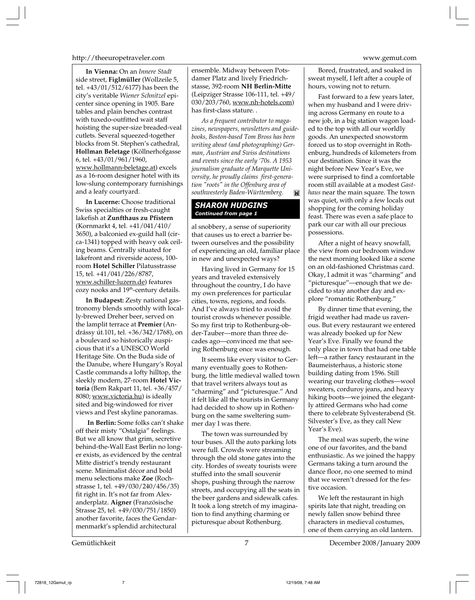#### http://theeuropetraveler.com www.gemut.com

**In Vienna:** On an *Innere Stadt* side street, **Figlmüller** (Wollzeile 5, tel. +43/01/512/6177) has been the city's veritable *Wiener Schnitzel* epicenter since opening in 1905. Bare tables and plain benches contrast with tuxedo-outfitted wait staff hoisting the super-size breaded-veal cutlets. Several squeezed-together blocks from St. Stephen's cathedral, **Hollman Beletage** (Köllnerhofgasse 6, tel. +43/01/961/1960, www.hollmann-beletage.at) excels as a 16-room designer hotel with its low-slung contemporary furnishings and a leafy courtyard.

**In Lucerne:** Choose traditional Swiss specialties or fresh-caught lakefish at **Zunfthaus zu Pfistern** (Kornmarkt 4, tel. +41/041/410/ 3650), a balconied ex-guild hall (circa-1341) topped with heavy oak ceiling beams. Centrally situated for lakefront and riverside access, 100 room **Hotel Schiller** Pilatusstrasse 15, tel. +41/041/226/8787, www.schiller-luzern.de) features cozy nooks and 19<sup>th</sup>-century details.

**In Budapest:** Zesty national gastronomy blends smoothly with locally-brewed Dreher beer, served on the lamplit terrace at **Premier** (Andrássy út.101, tel. +36/342/1768), on a boulevard so historically auspicious that it's a UNESCO World Heritage Site. On the Buda side of the Danube, where Hungary's Royal Castle commands a lofty hilltop, the sleekly modern, 27-room **Hotel Victoria** (Bem Rakpart 11, tel. +36/457/ 8080; www.victoria.hu) is ideally sited and big-windowed for river views and Pest skyline panoramas.

 **In Berlin:** Some folks can't shake off their misty "Ostalgia" feelings. But we all know that grim, secretive behind-the-Wall East Berlin no longer exists, as evidenced by the central Mitte district's trendy restaurant scene. Minimalist décor and bold menu selections make **Zoe** (Rochstrasse 1, tel. +49/030/240/456/35) fit right in. It's not far from Alexanderplatz. **Aigner** (Französische Strasse 25, tel. +49/030/751/1850) another favorite, faces the Gendarmenmarkt's splendid architectural

ensemble. Midway between Potsdamer Platz and lively Friedrichstasse, 392-room **NH Berlin-Mitte** (Leipziger Strasse 106-111, tel. +49/ 030/203/760, www.nh-hotels.com) has first-class stature. .

*As a frequent contributor to magazines, newspapers, newsletters and guidebooks, Boston-based Tom Bross has been writing about (and photographing) German, Austrian and Swiss destinations and events since the early '70s. A 1953 journalism graduate of Marquette University, he proudly claims first-generation "roots" in the Offenburg area of southwesterly Baden-Württemberg.* Ĭ×.

### *SHARON HUDGINS Continued from page 1*

al snobbery, a sense of superiority that causes us to erect a barrier between ourselves and the possibility of experiencing an old, familiar place in new and unexpected ways?

Having lived in Germany for 15 years and traveled extensively throughout the country, I do have my own preferences for particular cities, towns, regions, and foods. And I've always tried to avoid the tourist crowds whenever possible. So my first trip to Rothenburg-obder-Tauber—more than three decades ago—convinced me that seeing Rothenburg once was enough.

It seems like every visitor to Germany eventually goes to Rothenburg, the little medieval walled town that travel writers always tout as "charming" and "picturesque." And it felt like all the tourists in Germany had decided to show up in Rothenburg on the same sweltering summer day I was there.

The town was surrounded by tour buses. All the auto parking lots were full. Crowds were streaming through the old stone gates into the city. Hordes of sweaty tourists were stuffed into the small souvenir shops, pushing through the narrow streets, and occupying all the seats in the beer gardens and sidewalk cafes. It took a long stretch of my imagination to find anything charming or picturesque about Rothenburg.

Bored, frustrated, and soaked in sweat myself, I left after a couple of hours, vowing not to return.

Fast forward to a few years later, when my husband and I were driving across Germany en route to a new job, in a big station wagon loaded to the top with all our worldly goods. An unexpected snowstorm forced us to stop overnight in Rothenburg, hundreds of kilometers from our destination. Since it was the night before New Year's Eve, we were surprised to find a comfortable room still available at a modest *Gasthaus* near the main square. The town was quiet, with only a few locals out shopping for the coming holiday feast. There was even a safe place to park our car with all our precious possessions.

After a night of heavy snowfall, the view from our bedroom window the next morning looked like a scene on an old-fashioned Christmas card. Okay, I admit it was "charming" and "picturesque"—enough that we decided to stay another day and explore "romantic Rothenburg."

By dinner time that evening, the frigid weather had made us ravenous. But every restaurant we entered was already booked up for New Year's Eve. Finally we found the only place in town that had one table left—a rather fancy restaurant in the Baumeisterhaus, a historic stone building dating from 1596. Still wearing our traveling clothes—wool sweaters, corduroy jeans, and heavy hiking boots—we joined the elegantly attired Germans who had come there to celebrate Sylvesterabend (St. Silvester's Eve, as they call New Year's Eve).

The meal was superb, the wine one of our favorites, and the band enthusiastic. As we joined the happy Germans taking a turn around the dance floor, no one seemed to mind that we weren't dressed for the festive occasion.

We left the restaurant in high spirits late that night, treading on newly fallen snow behind three characters in medieval costumes, one of them carrying an old lantern.

Gemütlichkeit 7 December 2008/January 2009